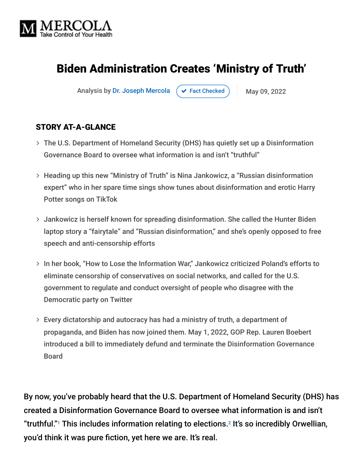

# Biden Administration Creates 'Ministry of Truth'

Analysis by [Dr. Joseph Mercola](https://www.mercola.com/forms/background.htm)  $\rightarrow$  [Fact Checked](javascript:void(0)) May 09, 2022

#### STORY AT-A-GLANCE

- The U.S. Department of Homeland Security (DHS) has quietly set up a Disinformation Governance Board to oversee what information is and isn't "truthful"
- Heading up this new "Ministry of Truth" is Nina Jankowicz, a "Russian disinformation expert" who in her spare time sings show tunes about disinformation and erotic Harry Potter songs on TikTok
- Jankowicz is herself known for spreading disinformation. She called the Hunter Biden laptop story a "fairytale" and "Russian disinformation," and she's openly opposed to free speech and anti-censorship efforts
- $>$  In her book, "How to Lose the Information War," Jankowicz criticized Poland's efforts to eliminate censorship of conservatives on social networks, and called for the U.S. government to regulate and conduct oversight of people who disagree with the Democratic party on Twitter
- Every dictatorship and autocracy has had a ministry of truth, a department of propaganda, and Biden has now joined them. May 1, 2022, GOP Rep. Lauren Boebert introduced a bill to immediately defund and terminate the Disinformation Governance Board

By now, you've probably heard that the U.S. Department of Homeland Security (DHS) has created a Disinformation Governance Board to oversee what information is and isn't "truthful."<sup>1</sup> This includes information relating to elections.<sup>2</sup> It's so incredibly Orwellian, you'd think it was pure fiction, yet here we are. It's real.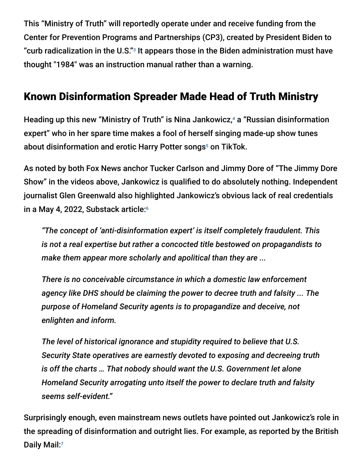This "Ministry of Truth" will reportedly operate under and receive funding from the Center for Prevention Programs and Partnerships (CP3), created by President Biden to "curb radicalization in the U.S." $3$  It appears those in the Biden administration must have thought "1984" was an instruction manual rather than a warning.

# Known Disinformation Spreader Made Head of Truth Ministry

Heading up this new "Ministry of Truth" is Nina Jankowicz,<sup>4</sup> a "Russian disinformation expert" who in her spare time makes a fool of herself singing made-up show tunes about disinformation and erotic Harry Potter songs<sup>5</sup> on TikTok.

As noted by both Fox News anchor Tucker Carlson and Jimmy Dore of "The Jimmy Dore Show" in the videos above, Jankowicz is qualified to do absolutely nothing. Independent journalist Glen Greenwald also highlighted Jankowicz's obvious lack of real credentials in a May 4, 2022, Substack article: 6

*"The concept of 'anti-disinformation expert' is itself completely fraudulent. This is not a real expertise but rather a concocted title bestowed on propagandists to make them appear more scholarly and apolitical than they are ...*

*There is no conceivable circumstance in which a domestic law enforcement agency like DHS should be claiming the power to decree truth and falsity ... The purpose of Homeland Security agents is to propagandize and deceive, not enlighten and inform.*

*The level of historical ignorance and stupidity required to believe that U.S. Security State operatives are earnestly devoted to exposing and decreeing truth is off the charts … That nobody should want the U.S. Government let alone Homeland Security arrogating unto itself the power to declare truth and falsity seems self-evident."*

Surprisingly enough, even mainstream news outlets have pointed out Jankowicz's role in the spreading of disinformation and outright lies. For example, as reported by the British Daily Mail:7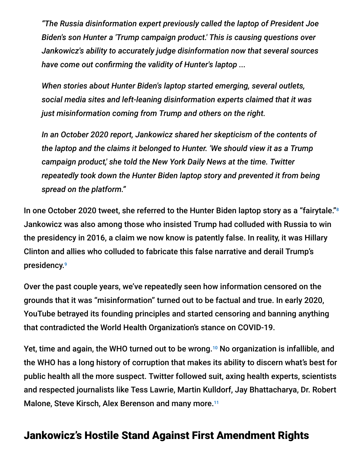*"The Russia disinformation expert previously called the laptop of President Joe Biden's son Hunter a 'Trump campaign product.' This is causing questions over Jankowicz's ability to accurately judge disinformation now that several sources have come out confirming the validity of Hunter's laptop ...*

*When stories about Hunter Biden's laptop started emerging, several outlets, social media sites and left-leaning disinformation experts claimed that it was just misinformation coming from Trump and others on the right.*

*In an October 2020 report, Jankowicz shared her skepticism of the contents of the laptop and the claims it belonged to Hunter. 'We should view it as a Trump campaign product,' she told the New York Daily News at the time. Twitter repeatedly took down the Hunter Biden laptop story and prevented it from being spread on the platform."*

In one October 2020 tweet, she referred to the Hunter Biden laptop story as a "fairytale."<sup>8</sup> Jankowicz was also among those who insisted Trump had colluded with Russia to win the presidency in 2016, a claim we now know is patently false. In reality, it was Hillary Clinton and allies who colluded to fabricate this false narrative and derail Trump's presidency. 9

Over the past couple years, we've repeatedly seen how information censored on the grounds that it was "misinformation" turned out to be factual and true. In early 2020, YouTube betrayed its founding principles and started censoring and banning anything that contradicted the World Health Organization's stance on COVID-19.

Yet, time and again, the WHO turned out to be wrong.<sup>10</sup> No organization is infallible, and the WHO has a long history of corruption that makes its ability to discern what's best for public health all the more suspect. Twitter followed suit, axing health experts, scientists and respected journalists like Tess Lawrie, Martin Kulldorf, Jay Bhattacharya, Dr. Robert Malone, Steve Kirsch, Alex Berenson and many more. 11

#### Jankowicz's Hostile Stand Against First Amendment Rights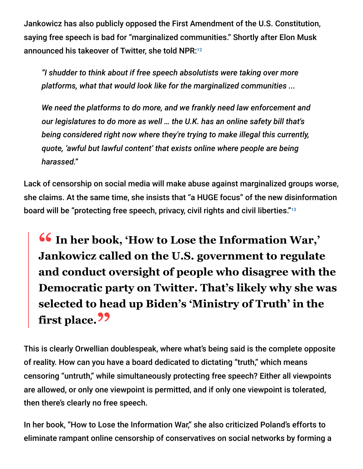Jankowicz has also publicly opposed the First Amendment of the U.S. Constitution, saying free speech is bad for "marginalized communities." Shortly after Elon Musk announced his takeover of Twitter, she told NPR: 12

*"I shudder to think about if free speech absolutists were taking over more platforms, what that would look like for the marginalized communities ...*

*We need the platforms to do more, and we frankly need law enforcement and our legislatures to do more as well … the U.K. has an online safety bill that's being considered right now where they're trying to make illegal this currently, quote, 'awful but lawful content' that exists online where people are being harassed."*

Lack of censorship on social media will make abuse against marginalized groups worse, she claims. At the same time, she insists that "a HUGE focus" of the new disinformation board will be "protecting free speech, privacy, civil rights and civil liberties."<sup>13</sup>

**<sup>66</sup>** In her book, 'How to Lose the Information War,'<br>Jankowicz called on the U.S. government to regulate **Jankowicz called on the U.S. government to regulate and conduct oversight of people who disagree with the Democratic party on Twitter. That's likely why she was selected to head up Biden's 'Ministry of Truth' in the first place."**

This is clearly Orwellian doublespeak, where what's being said is the complete opposite of reality. How can you have a board dedicated to dictating "truth," which means censoring "untruth," while simultaneously protecting free speech? Either all viewpoints are allowed, or only one viewpoint is permitted, and if only one viewpoint is tolerated, then there's clearly no free speech.

In her book, "How to Lose the Information War," she also criticized Poland's efforts to eliminate rampant online censorship of conservatives on social networks by forming a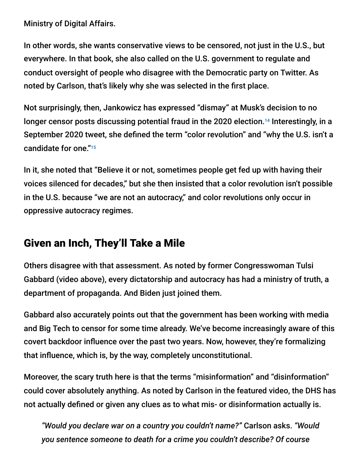Ministry of Digital Affairs.

In other words, she wants conservative views to be censored, not just in the U.S., but everywhere. In that book, she also called on the U.S. government to regulate and conduct oversight of people who disagree with the Democratic party on Twitter. As noted by Carlson, that's likely why she was selected in the first place.

Not surprisingly, then, Jankowicz has expressed "dismay" at Musk's decision to no longer censor posts discussing potential fraud in the 2020 election.<sup>14</sup> Interestingly, in a September 2020 tweet, she defined the term "color revolution" and "why the U.S. isn't a candidate for one." 15

In it, she noted that "Believe it or not, sometimes people get fed up with having their voices silenced for decades," but she then insisted that a color revolution isn't possible in the U.S. because "we are not an autocracy," and color revolutions only occur in oppressive autocracy regimes.

# Given an Inch, They'll Take a Mile

Others disagree with that assessment. As noted by former Congresswoman Tulsi Gabbard (video above), every dictatorship and autocracy has had a ministry of truth, a department of propaganda. And Biden just joined them.

Gabbard also accurately points out that the government has been working with media and Big Tech to censor for some time already. We've become increasingly aware of this covert backdoor influence over the past two years. Now, however, they're formalizing that influence, which is, by the way, completely unconstitutional.

Moreover, the scary truth here is that the terms "misinformation" and "disinformation" could cover absolutely anything. As noted by Carlson in the featured video, the DHS has not actually defined or given any clues as to what mis- or disinformation actually is.

*"Would you declare war on a country you couldn't name?"* Carlson asks. *"Would you sentence someone to death for a crime you couldn't describe? Of course*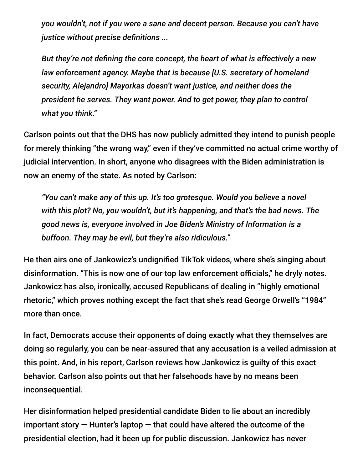*you wouldn't, not if you were a sane and decent person. Because you can't have justice without precise definitions ...*

*But they're not defining the core concept, the heart of what is effectively a new law enforcement agency. Maybe that is because [U.S. secretary of homeland security, Alejandro] Mayorkas doesn't want justice, and neither does the president he serves. They want power. And to get power, they plan to control what you think."*

Carlson points out that the DHS has now publicly admitted they intend to punish people for merely thinking "the wrong way," even if they've committed no actual crime worthy of judicial intervention. In short, anyone who disagrees with the Biden administration is now an enemy of the state. As noted by Carlson:

*"You can't make any of this up. It's too grotesque. Would you believe a novel with this plot? No, you wouldn't, but it's happening, and that's the bad news. The good news is, everyone involved in Joe Biden's Ministry of Information is a buffoon. They may be evil, but they're also ridiculous."*

He then airs one of Jankowicz's undignified TikTok videos, where she's singing about disinformation. "This is now one of our top law enforcement officials," he dryly notes. Jankowicz has also, ironically, accused Republicans of dealing in "highly emotional rhetoric," which proves nothing except the fact that she's read George Orwell's "1984" more than once.

In fact, Democrats accuse their opponents of doing exactly what they themselves are doing so regularly, you can be near-assured that any accusation is a veiled admission at this point. And, in his report, Carlson reviews how Jankowicz is guilty of this exact behavior. Carlson also points out that her falsehoods have by no means been inconsequential.

Her disinformation helped presidential candidate Biden to lie about an incredibly important story  $-$  Hunter's laptop  $-$  that could have altered the outcome of the presidential election, had it been up for public discussion. Jankowicz has never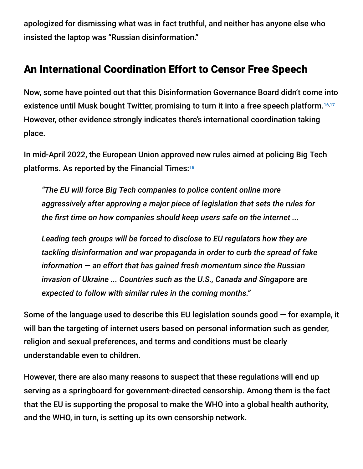apologized for dismissing what was in fact truthful, and neither has anyone else who insisted the laptop was "Russian disinformation."

# An International Coordination Effort to Censor Free Speech

Now, some have pointed out that this Disinformation Governance Board didn't come into existence until Musk bought Twitter, promising to turn it into a free speech platform. 16,17 However, other evidence strongly indicates there's international coordination taking place.

In mid-April 2022, the European Union approved new rules aimed at policing Big Tech platforms. As reported by the Financial Times: 18

*"The EU will force Big Tech companies to police content online more aggressively after approving a major piece of legislation that sets the rules for the first time on how companies should keep users safe on the internet ...*

*Leading tech groups will be forced to disclose to EU regulators how they are tackling disinformation and war propaganda in order to curb the spread of fake information — an effort that has gained fresh momentum since the Russian invasion of Ukraine ... Countries such as the U.S., Canada and Singapore are expected to follow with similar rules in the coming months."*

Some of the language used to describe this EU legislation sounds good  $-$  for example, it will ban the targeting of internet users based on personal information such as gender, religion and sexual preferences, and terms and conditions must be clearly understandable even to children.

However, there are also many reasons to suspect that these regulations will end up serving as a springboard for government-directed censorship. Among them is the fact that the EU is supporting the proposal to make the WHO into a global health authority, and the WHO, in turn, is setting up its own censorship network.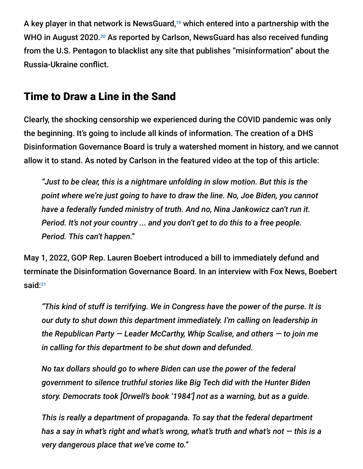A key player in that network is NewsGuard, $^{\textrm{\tiny{19}}}$  which entered into a partnership with the WHO in August 2020.<sup>20</sup> As reported by Carlson, NewsGuard has also received funding from the U.S. Pentagon to blacklist any site that publishes "misinformation" about the Russia-Ukraine conflict.

### Time to Draw a Line in the Sand

Clearly, the shocking censorship we experienced during the COVID pandemic was only the beginning. It's going to include all kinds of information. The creation of a DHS Disinformation Governance Board is truly a watershed moment in history, and we cannot allow it to stand. As noted by Carlson in the featured video at the top of this article:

*"Just to be clear, this is a nightmare unfolding in slow motion. But this is the point where we're just going to have to draw the line. No, Joe Biden, you cannot have a federally funded ministry of truth. And no, Nina Jankowicz can't run it. Period. It's not your country ... and you don't get to do this to a free people. Period. This can't happen."*

May 1, 2022, GOP Rep. Lauren Boebert introduced a bill to immediately defund and terminate the Disinformation Governance Board. In an interview with Fox News, Boebert said: 21

*"This kind of stuff is terrifying. We in Congress have the power of the purse. It is our duty to shut down this department immediately. I'm calling on leadership in the Republican Party — Leader McCarthy, Whip Scalise, and others — to join me in calling for this department to be shut down and defunded.*

*No tax dollars should go to where Biden can use the power of the federal government to silence truthful stories like Big Tech did with the Hunter Biden story. Democrats took [Orwell's book '1984'] not as a warning, but as a guide.*

*This is really a department of propaganda. To say that the federal department has a say in what's right and what's wrong, what's truth and what's not — this is a very dangerous place that we've come to."*